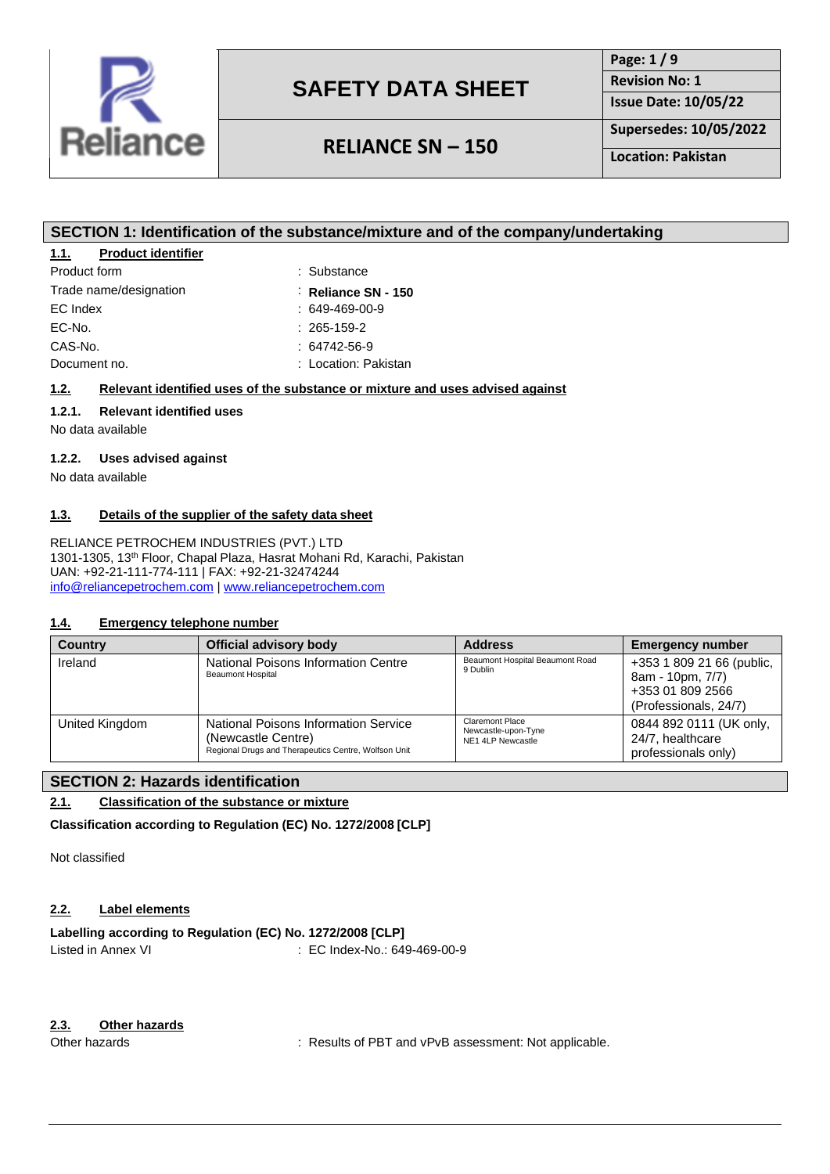

## **RELIANCE SN – 150**

**Page: 1 / 9 Revision No: 1 Issue Date: 10/05/22**

**Supersedes: 10/05/2022**

**Location: Pakistan**

### **SECTION 1: Identification of the substance/mixture and of the company/undertaking**

#### **1.1. Product identifier**

| Product form           | : Substance            |
|------------------------|------------------------|
| Trade name/designation | : Reliance SN - 150    |
| EC Index               | $: 649 - 469 - 00 - 9$ |
| EC-No.                 | $: 265 - 159 - 2$      |
| CAS-No.                | $: 64742 - 56 - 9$     |
| Document no.           | : Location: Pakistan   |
|                        |                        |

#### **1.2. Relevant identified uses of the substance or mixture and uses advised against**

### **1.2.1. Relevant identified uses**

No data available

#### **1.2.2. Uses advised against**

No data available

#### **1.3. Details of the supplier of the safety data sheet**

RELIANCE PETROCHEM INDUSTRIES (PVT.) LTD 1301-1305, 13th Floor, Chapal Plaza, Hasrat Mohani Rd, Karachi, Pakistan UAN: +92-21-111-774-111 | FAX: +92-21-32474244 [info@reliancepetrochem.com](mailto:info@reliancepetrochem.com) [| www.reliancepetrochem.com](http://www.reliancepetrochem.com/)

#### **1.4. Emergency telephone number**

| <b>Country</b> | Official advisory body                                                                                             | <b>Address</b>                                                     | <b>Emergency number</b>                                                                    |
|----------------|--------------------------------------------------------------------------------------------------------------------|--------------------------------------------------------------------|--------------------------------------------------------------------------------------------|
| Ireland        | National Poisons Information Centre<br><b>Beaumont Hospital</b>                                                    | Beaumont Hospital Beaumont Road<br>9 Dublin                        | +353 1 809 21 66 (public,<br>8am - 10pm, 7/7)<br>+353 01 809 2566<br>(Professionals, 24/7) |
| United Kingdom | National Poisons Information Service<br>(Newcastle Centre)<br>Regional Drugs and Therapeutics Centre, Wolfson Unit | <b>Claremont Place</b><br>Newcastle-upon-Tyne<br>NE1 4LP Newcastle | 0844 892 0111 (UK only,<br>24/7, healthcare<br>professionals only)                         |

#### **SECTION 2: Hazards identification**

## **2.1. Classification of the substance or mixture**

**Classification according to Regulation (EC) No. 1272/2008 [CLP]**

Not classified

#### **2.2. Label elements**

### **Labelling according to Regulation (EC) No. 1272/2008 [CLP]**

Listed in Annex VI : EC Index-No.: 649-469-00-9

#### **2.3. Other hazards**

Other hazards **in the substitute of PBT** and vPvB assessment: Not applicable.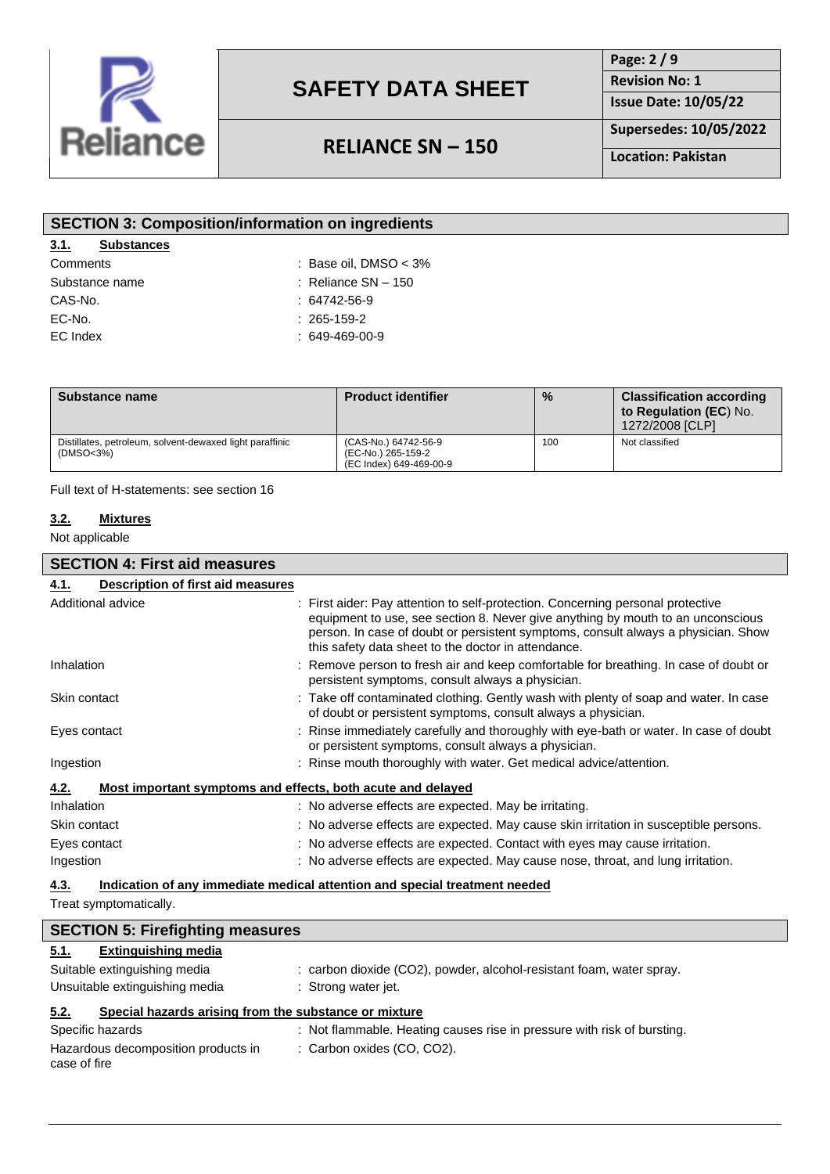

## **RELIANCE SN – 150**

**Page: 2 / 9 Revision No: 1**

**Issue Date: 10/05/22**

**Supersedes: 10/05/2022**

**Location: Pakistan**

| <b>SECTION 3: Composition/information on ingredients</b> |                         |  |  |  |
|----------------------------------------------------------|-------------------------|--|--|--|
| 3.1.<br><b>Substances</b>                                |                         |  |  |  |
| Comments                                                 | : Base oil, DMSO $<$ 3% |  |  |  |
| Substance name                                           | : Reliance $SN - 150$   |  |  |  |
| CAS-No.                                                  | $: 64742 - 56 - 9$      |  |  |  |
| EC-No.                                                   | $: 265 - 159 - 2$       |  |  |  |
| EC Index                                                 | $: 649 - 469 - 00 - 9$  |  |  |  |
|                                                          |                         |  |  |  |

| Substance name                                                        | <b>Product identifier</b>                                             | $\frac{0}{0}$ | <b>Classification according</b><br>to Regulation (EC) No.<br>1272/2008 [CLP] |
|-----------------------------------------------------------------------|-----------------------------------------------------------------------|---------------|------------------------------------------------------------------------------|
| Distillates, petroleum, solvent-dewaxed light paraffinic<br>(DMSO<3%) | (CAS-No.) 64742-56-9<br>(EC-No.) 265-159-2<br>(EC Index) 649-469-00-9 | 100           | Not classified                                                               |

Full text of H-statements: see section 16

#### **3.2. Mixtures**

Not applicable

| Description of first aid measures<br>4.1.                           |                                                                                                                                                                                                                                                                                                                                                                                                                                                            |
|---------------------------------------------------------------------|------------------------------------------------------------------------------------------------------------------------------------------------------------------------------------------------------------------------------------------------------------------------------------------------------------------------------------------------------------------------------------------------------------------------------------------------------------|
| Additional advice                                                   | : First aider: Pay attention to self-protection. Concerning personal protective<br>equipment to use, see section 8. Never give anything by mouth to an unconscious<br>person. In case of doubt or persistent symptoms, consult always a physician. Show<br>this safety data sheet to the doctor in attendance.                                                                                                                                             |
| Inhalation                                                          | : Remove person to fresh air and keep comfortable for breathing. In case of doubt or<br>persistent symptoms, consult always a physician.                                                                                                                                                                                                                                                                                                                   |
| Skin contact                                                        | : Take off contaminated clothing. Gently wash with plenty of soap and water. In case<br>of doubt or persistent symptoms, consult always a physician.                                                                                                                                                                                                                                                                                                       |
| Eyes contact                                                        | : Rinse immediately carefully and thoroughly with eye-bath or water. In case of doubt<br>or persistent symptoms, consult always a physician.                                                                                                                                                                                                                                                                                                               |
| Ingestion                                                           | : Rinse mouth thoroughly with water. Get medical advice/attention.                                                                                                                                                                                                                                                                                                                                                                                         |
| Most important symptoms and effects, both acute and delayed<br>4.2. |                                                                                                                                                                                                                                                                                                                                                                                                                                                            |
| Inhalation                                                          | : No adverse effects are expected. May be irritating.                                                                                                                                                                                                                                                                                                                                                                                                      |
| Skin contact                                                        | : No adverse effects are expected. May cause skin irritation in susceptible persons.                                                                                                                                                                                                                                                                                                                                                                       |
| Eyes contact                                                        | : No adverse effects are expected. Contact with eyes may cause irritation.                                                                                                                                                                                                                                                                                                                                                                                 |
| Ingestion                                                           | : No adverse effects are expected. May cause nose, throat, and lung irritation.                                                                                                                                                                                                                                                                                                                                                                            |
|                                                                     | $\mathbf{H} = \mathbf{H} \cdot \mathbf{H} = \mathbf{H} \cdot \mathbf{H} = \mathbf{H} \cdot \mathbf{H} = \mathbf{H} \cdot \mathbf{H} = \mathbf{H} \cdot \mathbf{H} = \mathbf{H} \cdot \mathbf{H} = \mathbf{H} \cdot \mathbf{H} = \mathbf{H} \cdot \mathbf{H} = \mathbf{H} \cdot \mathbf{H} = \mathbf{H} \cdot \mathbf{H} = \mathbf{H} \cdot \mathbf{H} = \mathbf{H} \cdot \mathbf{H} = \mathbf{H} \cdot \mathbf{H} = \mathbf{H} \cdot \mathbf{H} = \mathbf$ |

**4.3. Indication of any immediate medical attention and special treatment needed**

Treat symptomatically.

| <b>SECTION 5: Firefighting measures</b>                       |                                                                         |  |  |
|---------------------------------------------------------------|-------------------------------------------------------------------------|--|--|
| <b>Extinguishing media</b><br>5.1.                            |                                                                         |  |  |
| Suitable extinguishing media                                  | : carbon dioxide (CO2), powder, alcohol-resistant foam, water spray.    |  |  |
| Unsuitable extinguishing media                                | : Strong water jet.                                                     |  |  |
| Special hazards arising from the substance or mixture<br>5.2. |                                                                         |  |  |
| Specific hazards                                              | : Not flammable. Heating causes rise in pressure with risk of bursting. |  |  |
| Hazardous decomposition products in<br>case of fire           | : Carbon oxides (CO, CO2).                                              |  |  |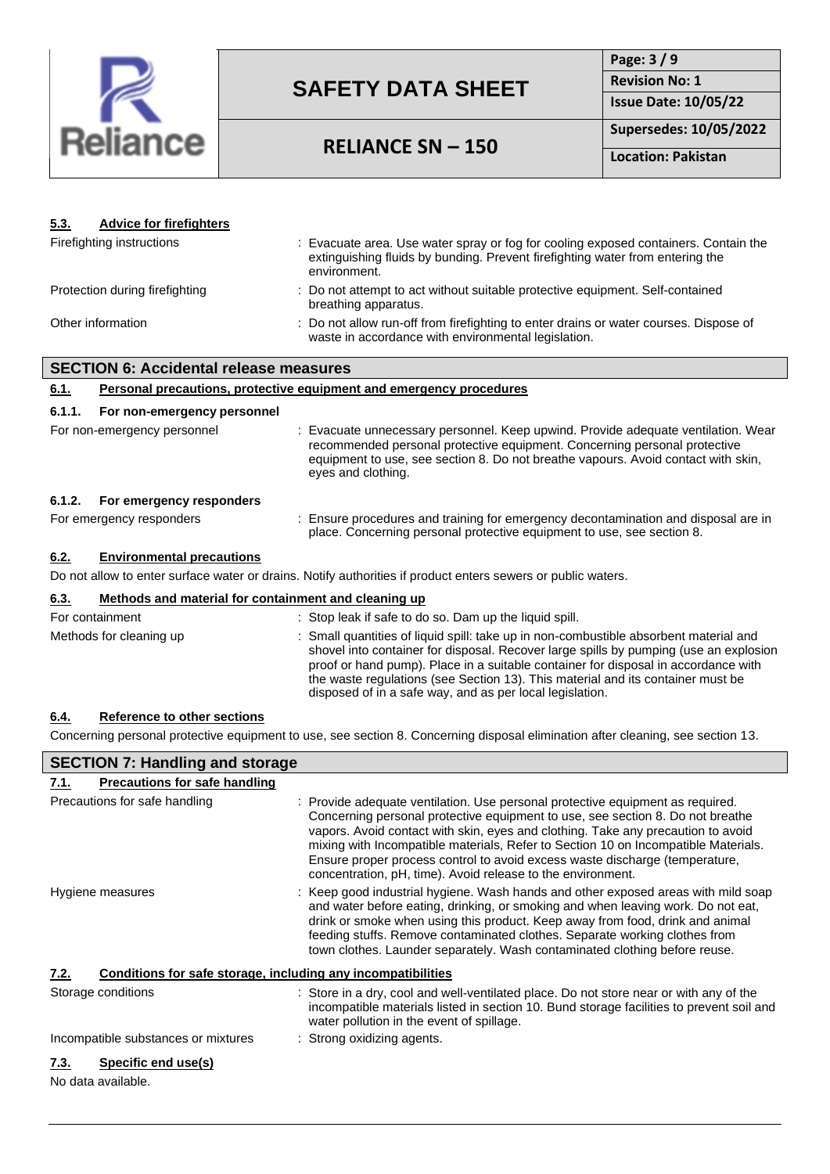

## **RELIANCE SN – 150**

**Page: 3 / 9 Revision No: 1 Issue Date: 10/05/22**

**Supersedes: 10/05/2022**

**Location: Pakistan**

| 5.3.                           | <b>Advice for firefighters</b>                       |  |                                                                                                                                                                                                                                                                                                                                                                                                                                                                                                                                                                               |
|--------------------------------|------------------------------------------------------|--|-------------------------------------------------------------------------------------------------------------------------------------------------------------------------------------------------------------------------------------------------------------------------------------------------------------------------------------------------------------------------------------------------------------------------------------------------------------------------------------------------------------------------------------------------------------------------------|
|                                | Firefighting instructions                            |  | : Evacuate area. Use water spray or fog for cooling exposed containers. Contain the<br>extinguishing fluids by bunding. Prevent firefighting water from entering the<br>environment.                                                                                                                                                                                                                                                                                                                                                                                          |
| Protection during firefighting |                                                      |  | : Do not attempt to act without suitable protective equipment. Self-contained<br>breathing apparatus.                                                                                                                                                                                                                                                                                                                                                                                                                                                                         |
| Other information              |                                                      |  | : Do not allow run-off from firefighting to enter drains or water courses. Dispose of<br>waste in accordance with environmental legislation.                                                                                                                                                                                                                                                                                                                                                                                                                                  |
|                                | <b>SECTION 6: Accidental release measures</b>        |  |                                                                                                                                                                                                                                                                                                                                                                                                                                                                                                                                                                               |
| 6.1.                           |                                                      |  | Personal precautions, protective equipment and emergency procedures                                                                                                                                                                                                                                                                                                                                                                                                                                                                                                           |
| 6.1.1.                         | For non-emergency personnel                          |  |                                                                                                                                                                                                                                                                                                                                                                                                                                                                                                                                                                               |
|                                | For non-emergency personnel                          |  | : Evacuate unnecessary personnel. Keep upwind. Provide adequate ventilation. Wear<br>recommended personal protective equipment. Concerning personal protective<br>equipment to use, see section 8. Do not breathe vapours. Avoid contact with skin,<br>eyes and clothing.                                                                                                                                                                                                                                                                                                     |
| 6.1.2.                         | For emergency responders                             |  |                                                                                                                                                                                                                                                                                                                                                                                                                                                                                                                                                                               |
|                                | For emergency responders                             |  | : Ensure procedures and training for emergency decontamination and disposal are in<br>place. Concerning personal protective equipment to use, see section 8.                                                                                                                                                                                                                                                                                                                                                                                                                  |
| 6.2.                           | <b>Environmental precautions</b>                     |  |                                                                                                                                                                                                                                                                                                                                                                                                                                                                                                                                                                               |
|                                |                                                      |  | Do not allow to enter surface water or drains. Notify authorities if product enters sewers or public waters.                                                                                                                                                                                                                                                                                                                                                                                                                                                                  |
| 6.3.                           | Methods and material for containment and cleaning up |  |                                                                                                                                                                                                                                                                                                                                                                                                                                                                                                                                                                               |
|                                | For containment                                      |  | : Stop leak if safe to do so. Dam up the liquid spill.                                                                                                                                                                                                                                                                                                                                                                                                                                                                                                                        |
|                                | Methods for cleaning up                              |  | : Small quantities of liquid spill: take up in non-combustible absorbent material and<br>shovel into container for disposal. Recover large spills by pumping (use an explosion<br>proof or hand pump). Place in a suitable container for disposal in accordance with<br>the waste regulations (see Section 13). This material and its container must be<br>disposed of in a safe way, and as per local legislation.                                                                                                                                                           |
| <u>6.4.</u>                    | <b>Reference to other sections</b>                   |  |                                                                                                                                                                                                                                                                                                                                                                                                                                                                                                                                                                               |
|                                |                                                      |  | Concerning personal protective equipment to use, see section 8. Concerning disposal elimination after cleaning, see section 13.                                                                                                                                                                                                                                                                                                                                                                                                                                               |
|                                | <b>SECTION 7: Handling and storage</b>               |  |                                                                                                                                                                                                                                                                                                                                                                                                                                                                                                                                                                               |
| <u>7.1.</u>                    | <b>Precautions for safe handling</b>                 |  |                                                                                                                                                                                                                                                                                                                                                                                                                                                                                                                                                                               |
|                                | Precautions for safe handling<br>Hygiene measures    |  | : Provide adequate ventilation. Use personal protective equipment as required.<br>Concerning personal protective equipment to use, see section 8. Do not breathe<br>vapors. Avoid contact with skin, eyes and clothing. Take any precaution to avoid<br>mixing with Incompatible materials, Refer to Section 10 on Incompatible Materials.<br>Ensure proper process control to avoid excess waste discharge (temperature,<br>concentration, pH, time). Avoid release to the environment.<br>: Keep good industrial hygiene. Wash hands and other exposed areas with mild soap |
|                                |                                                      |  | and water before eating, drinking, or smoking and when leaving work. Do not eat,<br>drink or smoke when using this product. Keep away from food, drink and animal<br>feeding stuffs. Remove contaminated clothes. Separate working clothes from<br>town clothes. Launder separately. Wash contaminated clothing before reuse.                                                                                                                                                                                                                                                 |

#### **7.2. Conditions for safe storage, including any incompatibilities**

| Storage conditions                                                                                             | : Store in a dry, cool and well-ventilated place. Do not store near or with any of the<br>incompatible materials listed in section 10. Bund storage facilities to prevent soil and<br>water pollution in the event of spillage. |
|----------------------------------------------------------------------------------------------------------------|---------------------------------------------------------------------------------------------------------------------------------------------------------------------------------------------------------------------------------|
| Incompatible substances or mixtures                                                                            | : Strong oxidizing agents.                                                                                                                                                                                                      |
| Specific end use(s)<br>7.3.                                                                                    |                                                                                                                                                                                                                                 |
| . A list and a list and the list of the state of the list of the list of the list of the state of the state of |                                                                                                                                                                                                                                 |

No data available.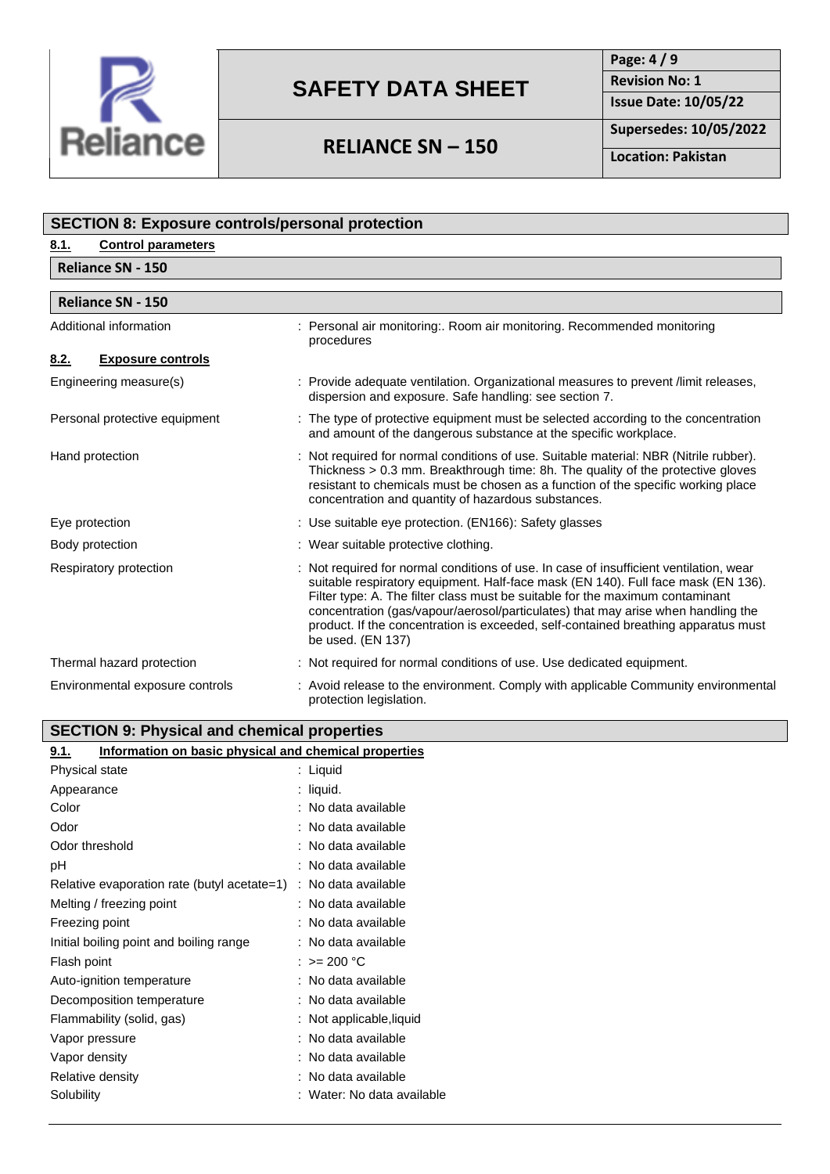

**Page: 4 / 9 Revision No: 1**

**RELIANCE SN – 150**

**Supersedes: 10/05/2022**

**Issue Date: 10/05/22**

**Location: Pakistan**

| <b>SECTION 8: Exposure controls/personal protection</b>       |                                                                                                                                                                                                                                                                                                                                                                                                                                                           |  |  |
|---------------------------------------------------------------|-----------------------------------------------------------------------------------------------------------------------------------------------------------------------------------------------------------------------------------------------------------------------------------------------------------------------------------------------------------------------------------------------------------------------------------------------------------|--|--|
| <b>Control parameters</b><br>8.1.                             |                                                                                                                                                                                                                                                                                                                                                                                                                                                           |  |  |
| <b>Reliance SN - 150</b>                                      |                                                                                                                                                                                                                                                                                                                                                                                                                                                           |  |  |
|                                                               |                                                                                                                                                                                                                                                                                                                                                                                                                                                           |  |  |
| <b>Reliance SN - 150</b>                                      |                                                                                                                                                                                                                                                                                                                                                                                                                                                           |  |  |
| Additional information                                        | Personal air monitoring:. Room air monitoring. Recommended monitoring<br>procedures                                                                                                                                                                                                                                                                                                                                                                       |  |  |
| 8.2.<br><b>Exposure controls</b>                              |                                                                                                                                                                                                                                                                                                                                                                                                                                                           |  |  |
| Engineering measure(s)                                        | : Provide adequate ventilation. Organizational measures to prevent /limit releases,<br>dispersion and exposure. Safe handling: see section 7.                                                                                                                                                                                                                                                                                                             |  |  |
| Personal protective equipment                                 | : The type of protective equipment must be selected according to the concentration<br>and amount of the dangerous substance at the specific workplace.                                                                                                                                                                                                                                                                                                    |  |  |
| Hand protection                                               | : Not required for normal conditions of use. Suitable material: NBR (Nitrile rubber).<br>Thickness > 0.3 mm. Breakthrough time: 8h. The quality of the protective gloves<br>resistant to chemicals must be chosen as a function of the specific working place<br>concentration and quantity of hazardous substances.                                                                                                                                      |  |  |
| Eye protection                                                | : Use suitable eye protection. (EN166): Safety glasses                                                                                                                                                                                                                                                                                                                                                                                                    |  |  |
| Body protection                                               | : Wear suitable protective clothing.                                                                                                                                                                                                                                                                                                                                                                                                                      |  |  |
| Respiratory protection                                        | Not required for normal conditions of use. In case of insufficient ventilation, wear<br>suitable respiratory equipment. Half-face mask (EN 140). Full face mask (EN 136).<br>Filter type: A. The filter class must be suitable for the maximum contaminant<br>concentration (gas/vapour/aerosol/particulates) that may arise when handling the<br>product. If the concentration is exceeded, self-contained breathing apparatus must<br>be used. (EN 137) |  |  |
| Thermal hazard protection                                     | : Not required for normal conditions of use. Use dedicated equipment.                                                                                                                                                                                                                                                                                                                                                                                     |  |  |
| Environmental exposure controls                               | : Avoid release to the environment. Comply with applicable Community environmental<br>protection legislation.                                                                                                                                                                                                                                                                                                                                             |  |  |
| <b>SECTION 9: Physical and chemical properties</b>            |                                                                                                                                                                                                                                                                                                                                                                                                                                                           |  |  |
| Information on basic physical and chemical properties<br>9.1. |                                                                                                                                                                                                                                                                                                                                                                                                                                                           |  |  |
| Physical state                                                | : Liquid                                                                                                                                                                                                                                                                                                                                                                                                                                                  |  |  |
| Appearance                                                    | $:$ liquid.                                                                                                                                                                                                                                                                                                                                                                                                                                               |  |  |
| Color                                                         | : No data available                                                                                                                                                                                                                                                                                                                                                                                                                                       |  |  |
| Odor                                                          | : No data available                                                                                                                                                                                                                                                                                                                                                                                                                                       |  |  |
| Odor throphold                                                | . No data available                                                                                                                                                                                                                                                                                                                                                                                                                                       |  |  |

| vaor                                        | : ino data available       |
|---------------------------------------------|----------------------------|
| Odor threshold                              | : No data available        |
| рH                                          | : No data available        |
| Relative evaporation rate (butyl acetate=1) | : No data available        |
| Melting / freezing point                    | : No data available        |
| Freezing point                              | : No data available        |
| Initial boiling point and boiling range     | : No data available        |
| Flash point                                 | : >= 200 °C                |
| Auto-ignition temperature                   | : No data available        |
| Decomposition temperature                   | : No data available        |
| Flammability (solid, gas)                   | : Not applicable, liquid   |
| Vapor pressure                              | : No data available        |
| Vapor density                               | : No data available        |
| Relative density                            | : No data available        |
| Solubility                                  | : Water: No data available |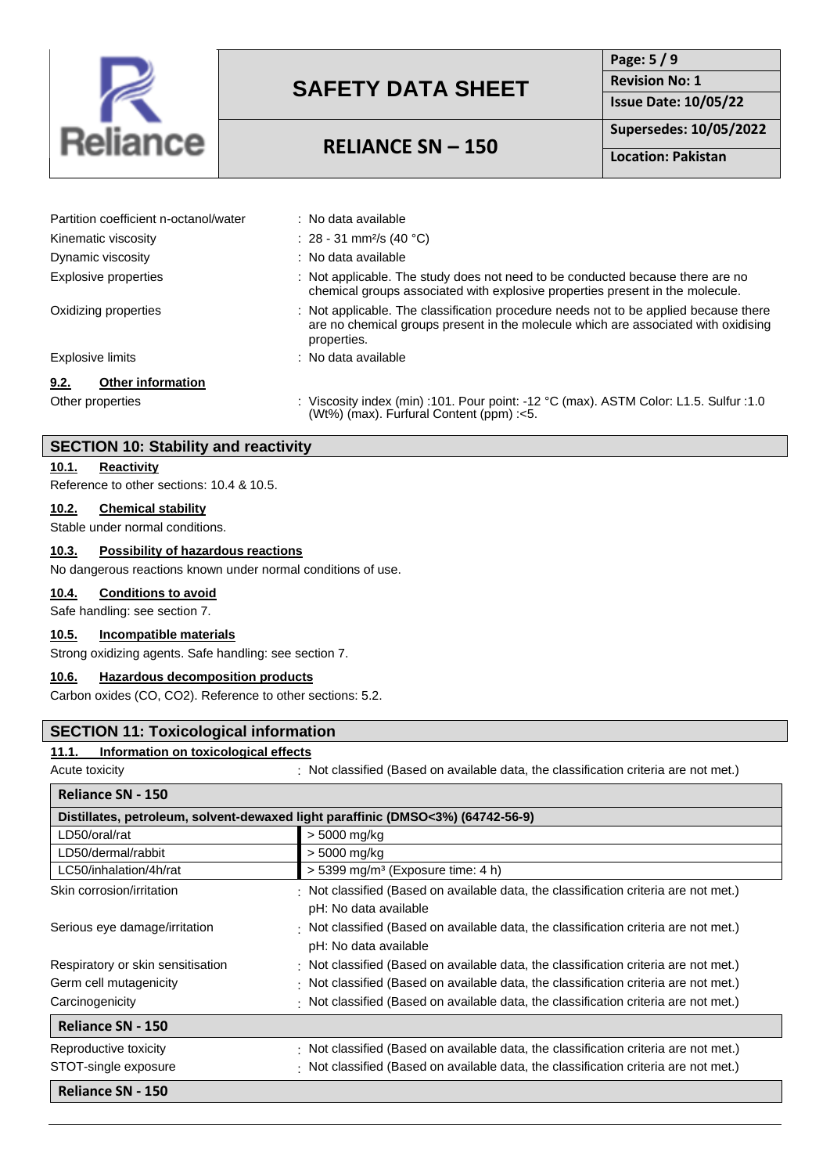

## **RELIANCE SN – 150**

**Page: 5 / 9 Revision No: 1 Issue Date: 10/05/22**

**Supersedes: 10/05/2022**

**Location: Pakistan**

| Partition coefficient n-octanol/water | : No data available                                                                                                                                                                       |
|---------------------------------------|-------------------------------------------------------------------------------------------------------------------------------------------------------------------------------------------|
| Kinematic viscosity                   | : 28 - 31 mm <sup>2</sup> /s (40 °C)                                                                                                                                                      |
| Dynamic viscosity                     | : No data available                                                                                                                                                                       |
| Explosive properties                  | : Not applicable. The study does not need to be conducted because there are no<br>chemical groups associated with explosive properties present in the molecule.                           |
| Oxidizing properties                  | : Not applicable. The classification procedure needs not to be applied because there<br>are no chemical groups present in the molecule which are associated with oxidising<br>properties. |
| Explosive limits                      | : No data available                                                                                                                                                                       |
| 9.2.<br><b>Other information</b>      |                                                                                                                                                                                           |
| Other properties                      | : Viscosity index (min) :101. Pour point: -12 °C (max). ASTM Color: L1.5. Sulfur :1.0<br>(Wt%) (max). Furfural Content (ppm) :< 5.                                                        |

#### **SECTION 10: Stability and reactivity**

#### **10.1. Reactivity**

Reference to other sections: 10.4 & 10.5.

#### **10.2. Chemical stability**

Stable under normal conditions.

#### **10.3. Possibility of hazardous reactions**

No dangerous reactions known under normal conditions of use.

#### **10.4. Conditions to avoid**

Safe handling: see section 7.

### **10.5. Incompatible materials**

Strong oxidizing agents. Safe handling: see section 7.

### **10.6. Hazardous decomposition products**

Carbon oxides (CO, CO2). Reference to other sections: 5.2.

#### **SECTION 11: Toxicological information**

### **11.1. Information on toxicological effects**

Acute toxicity : Not classified (Based on available data, the classification criteria are not met.)

| Reliance SN - 150                                                               |                                                                                                                     |  |  |
|---------------------------------------------------------------------------------|---------------------------------------------------------------------------------------------------------------------|--|--|
| Distillates, petroleum, solvent-dewaxed light paraffinic (DMSO<3%) (64742-56-9) |                                                                                                                     |  |  |
| LD50/oral/rat                                                                   | > 5000 mg/kg                                                                                                        |  |  |
| LD50/dermal/rabbit                                                              | > 5000 mg/kg                                                                                                        |  |  |
| LC50/inhalation/4h/rat                                                          | $>$ 5399 mg/m <sup>3</sup> (Exposure time: 4 h)                                                                     |  |  |
| Skin corrosion/irritation                                                       | Not classified (Based on available data, the classification criteria are not met.)<br>pH: No data available         |  |  |
| Serious eye damage/irritation                                                   | $\cdot$ Not classified (Based on available data, the classification criteria are not met.)<br>pH: No data available |  |  |
| Respiratory or skin sensitisation                                               | Not classified (Based on available data, the classification criteria are not met.)                                  |  |  |
| Germ cell mutagenicity                                                          | · Not classified (Based on available data, the classification criteria are not met.)                                |  |  |
| Carcinogenicity                                                                 | Not classified (Based on available data, the classification criteria are not met.)                                  |  |  |
| <b>Reliance SN - 150</b>                                                        |                                                                                                                     |  |  |
| Reproductive toxicity                                                           | $\cdot$ Not classified (Based on available data, the classification criteria are not met.)                          |  |  |
| STOT-single exposure                                                            | Not classified (Based on available data, the classification criteria are not met.)                                  |  |  |
| <b>Reliance SN - 150</b>                                                        |                                                                                                                     |  |  |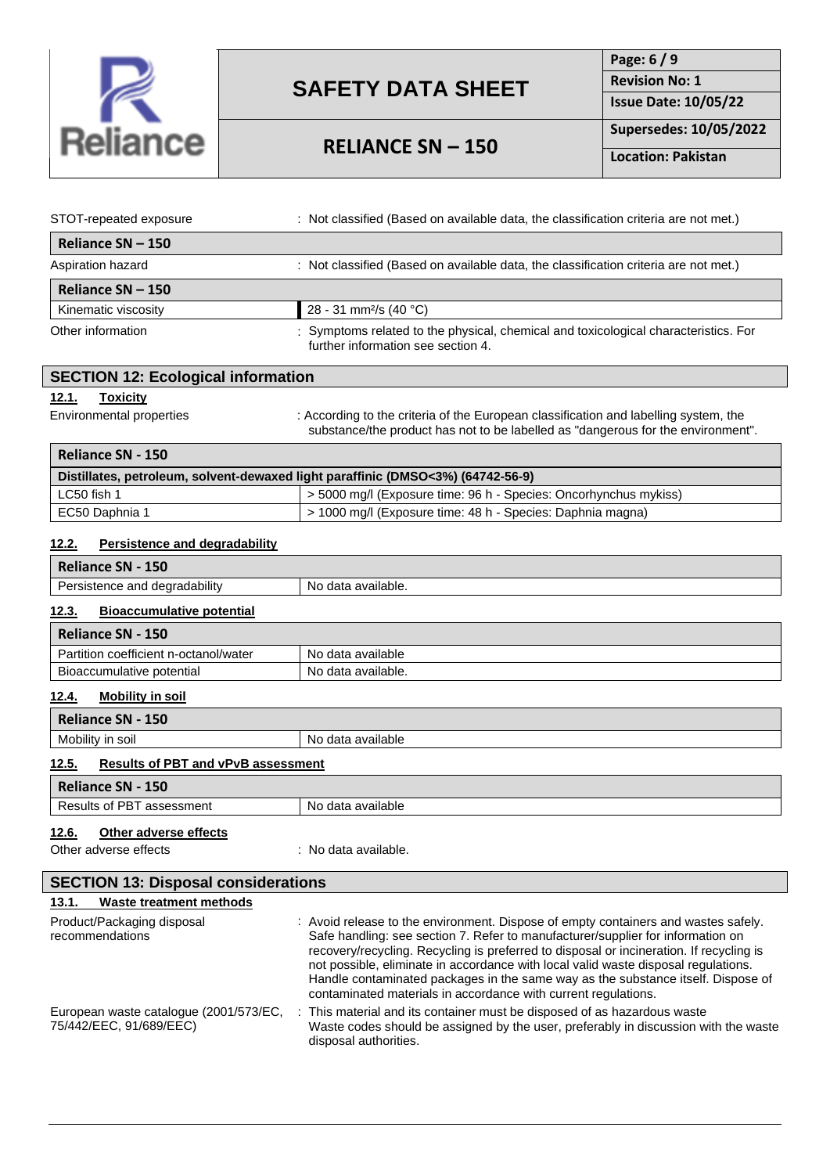

## **RELIANCE SN – 150**

**Page: 6 / 9 Revision No: 1 Issue Date: 10/05/22 Supersedes: 10/05/2022**

**Location: Pakistan**

| STOT-repeated exposure | : Not classified (Based on available data, the classification criteria are not met.)                                      |
|------------------------|---------------------------------------------------------------------------------------------------------------------------|
| Reliance SN - 150      |                                                                                                                           |
| Aspiration hazard      | : Not classified (Based on available data, the classification criteria are not met.)                                      |
| Reliance SN - 150      |                                                                                                                           |
| Kinematic viscosity    | 28 - 31 mm <sup>2</sup> /s (40 °C)                                                                                        |
| Other information      | : Symptoms related to the physical, chemical and toxicological characteristics. For<br>further information see section 4. |

| <b>SECTION 12: Ecological information</b>                                       |                                                                                                                                                                          |  |  |
|---------------------------------------------------------------------------------|--------------------------------------------------------------------------------------------------------------------------------------------------------------------------|--|--|
| <u>12.1.</u><br><b>Toxicity</b>                                                 |                                                                                                                                                                          |  |  |
| Environmental properties                                                        | : According to the criteria of the European classification and labelling system, the<br>substance/the product has not to be labelled as "dangerous for the environment". |  |  |
| Reliance SN - 150                                                               |                                                                                                                                                                          |  |  |
| Distillates, petroleum, solvent-dewaxed light paraffinic (DMSO<3%) (64742-56-9) |                                                                                                                                                                          |  |  |
| LC50 fish 1                                                                     | > 5000 mg/l (Exposure time: 96 h - Species: Oncorhynchus mykiss)                                                                                                         |  |  |

#### **12.2. Persistence and degradability**

| Reliance SN - 150                         |                    |
|-------------------------------------------|--------------------|
| Persistence and degradability             | No data available. |
| 12.3.<br><b>Bioaccumulative potential</b> |                    |

# **Reliance SN - 150**

| ---                                             |                       |
|-------------------------------------------------|-----------------------|
| <br>Doi<br>rtition coefficient n-octanol/water. | data available<br>NΟ  |
| --<br>potential<br><b>Bioaccumulative</b>       | data available.<br>No |

### **12.4. Mobility in soil**

| Reliance SN - 150                                  |                   |  |
|----------------------------------------------------|-------------------|--|
| Mobility in soil                                   | No data available |  |
| 12.5.<br><b>Results of PBT and vPvB assessment</b> |                   |  |
| Reliance SN - 150                                  |                   |  |
| Results of PBT assessment                          | No data available |  |
|                                                    |                   |  |

## **12.6. Other adverse effects**

Other adverse effects : No data available.

EC50 Daphnia 1 > 1000 mg/l (Exposure time: 48 h - Species: Daphnia magna)

|       | <b>SECTION 13: Disposal considerations</b> |  |
|-------|--------------------------------------------|--|
| 13.1. | Waste treatment methods                    |  |

| Product/Packaging disposal<br>recommendations                     | : Avoid release to the environment. Dispose of empty containers and wastes safely.<br>Safe handling: see section 7. Refer to manufacturer/supplier for information on<br>recovery/recycling. Recycling is preferred to disposal or incineration. If recycling is<br>not possible, eliminate in accordance with local valid waste disposal regulations.<br>Handle contaminated packages in the same way as the substance itself. Dispose of<br>contaminated materials in accordance with current regulations. |
|-------------------------------------------------------------------|--------------------------------------------------------------------------------------------------------------------------------------------------------------------------------------------------------------------------------------------------------------------------------------------------------------------------------------------------------------------------------------------------------------------------------------------------------------------------------------------------------------|
| European waste catalogue (2001/573/EC,<br>75/442/EEC, 91/689/EEC) | This material and its container must be disposed of as hazardous waste<br>Waste codes should be assigned by the user, preferably in discussion with the waste<br>disposal authorities.                                                                                                                                                                                                                                                                                                                       |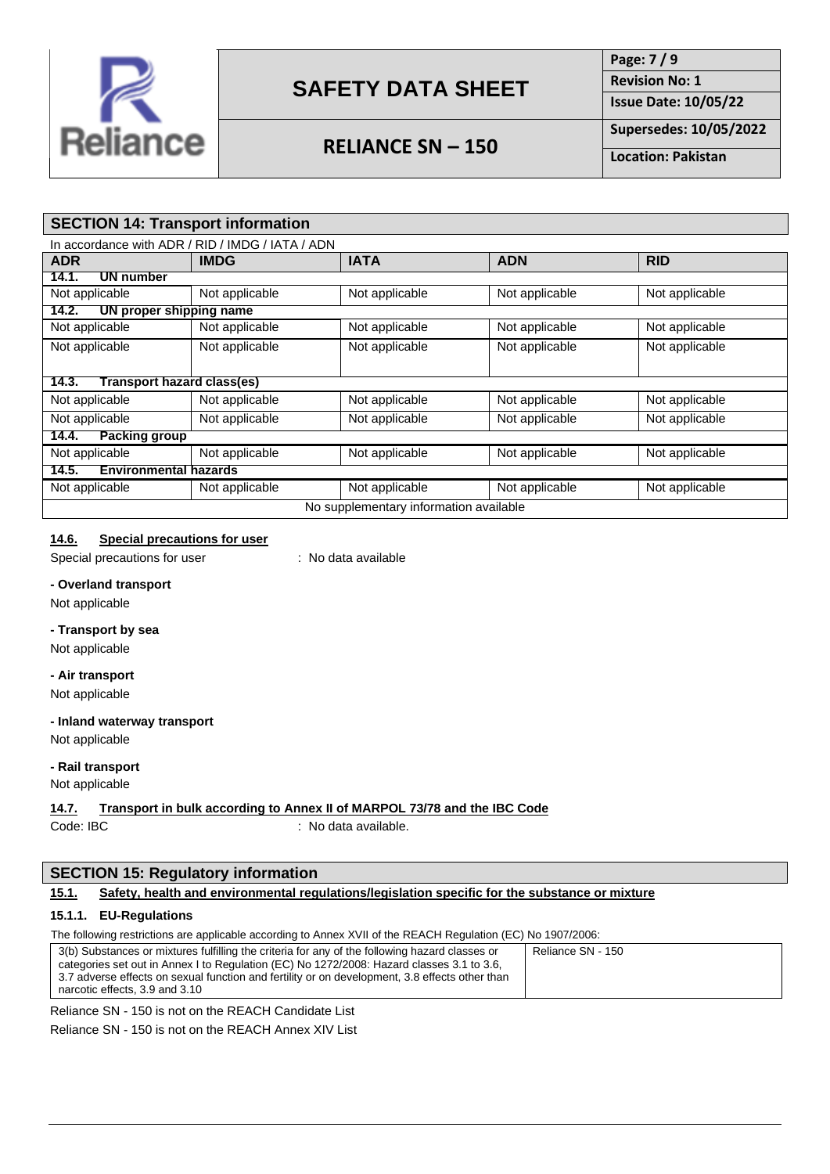

## **RELIANCE SN – 150**

**Page: 7 / 9 Revision No: 1**

**Supersedes: 10/05/2022**

**Issue Date: 10/05/22**

**Location: Pakistan**

### **SECTION 14: Transport information**

|                                        | In accordance with ADR / RID / IMDG / IATA / ADN |                |                |                |
|----------------------------------------|--------------------------------------------------|----------------|----------------|----------------|
| <b>ADR</b>                             | <b>IMDG</b>                                      | <b>IATA</b>    | <b>ADN</b>     | <b>RID</b>     |
| <b>UN number</b><br>14.1.              |                                                  |                |                |                |
| Not applicable                         | Not applicable                                   | Not applicable | Not applicable | Not applicable |
| UN proper shipping name<br>14.2.       |                                                  |                |                |                |
| Not applicable                         | Not applicable                                   | Not applicable | Not applicable | Not applicable |
| Not applicable                         | Not applicable                                   | Not applicable | Not applicable | Not applicable |
|                                        |                                                  |                |                |                |
| Transport hazard class(es)<br>14.3.    |                                                  |                |                |                |
| Not applicable                         | Not applicable                                   | Not applicable | Not applicable | Not applicable |
| Not applicable                         | Not applicable                                   | Not applicable | Not applicable | Not applicable |
| <b>Packing group</b><br>14.4.          |                                                  |                |                |                |
| Not applicable                         | Not applicable                                   | Not applicable | Not applicable | Not applicable |
| <b>Environmental hazards</b><br>14.5.  |                                                  |                |                |                |
| Not applicable                         | Not applicable                                   | Not applicable | Not applicable | Not applicable |
| No supplementary information available |                                                  |                |                |                |

#### **14.6. Special precautions for user**

Special precautions for user : No data available

**- Overland transport**

Not applicable

#### **- Transport by sea**

Not applicable

#### **- Air transport**

Not applicable

#### **- Inland waterway transport**

Not applicable

#### **- Rail transport**

Not applicable

#### **14.7. Transport in bulk according to Annex II of MARPOL 73/78 and the IBC Code**

Code: IBC : No data available.

#### **SECTION 15: Regulatory information**

#### **15.1. Safety, health and environmental regulations/legislation specific for the substance or mixture**

#### **15.1.1. EU-Regulations**

The following restrictions are applicable according to Annex XVII of the REACH Regulation (EC) No 1907/2006:

| 3(b) Substances or mixtures fulfilling the criteria for any of the following hazard classes or | Reliance SN - 150 |
|------------------------------------------------------------------------------------------------|-------------------|
| categories set out in Annex I to Regulation (EC) No 1272/2008: Hazard classes 3.1 to 3.6,      |                   |
| 3.7 adverse effects on sexual function and fertility or on development, 3.8 effects other than |                   |
| narcotic effects, 3.9 and 3.10                                                                 |                   |

Reliance SN - 150 is not on the REACH Candidate List

Reliance SN - 150 is not on the REACH Annex XIV List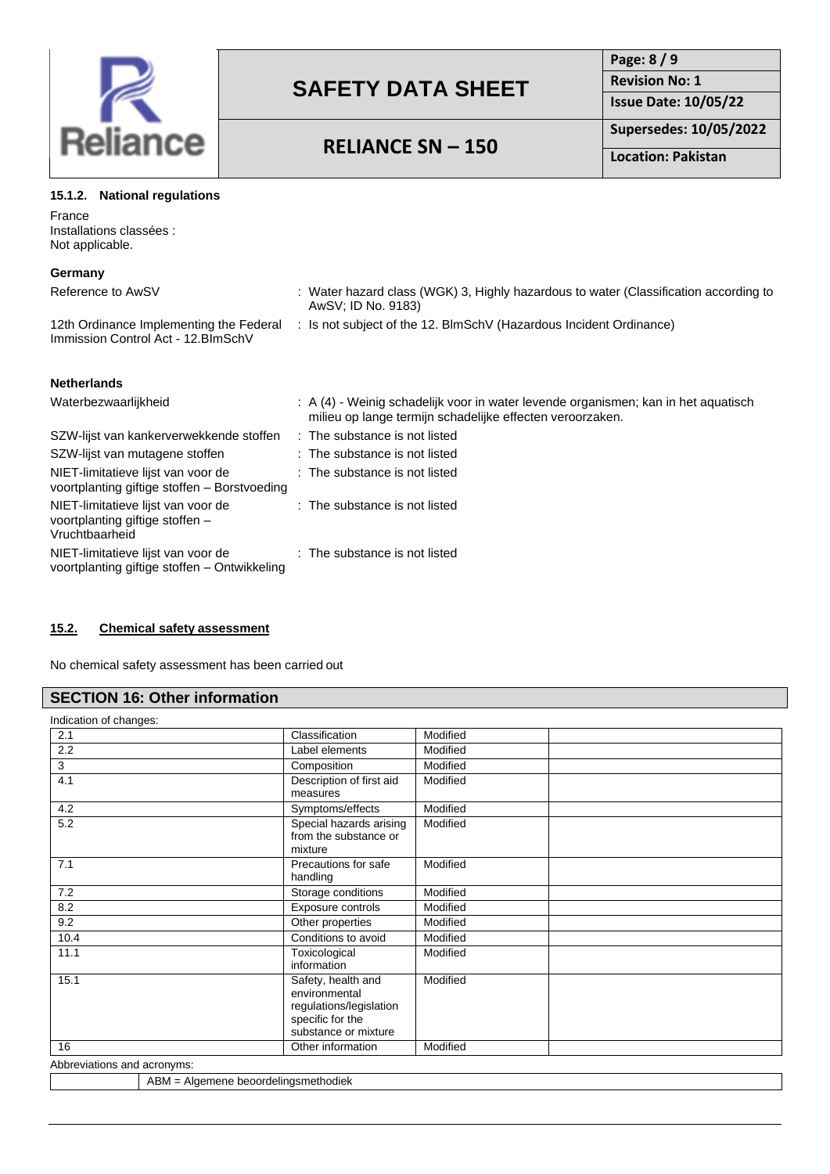

**Page: 8 / 9 Revision No: 1 Issue Date: 10/05/22**

# **RELIANCE SN – 150**

**Supersedes: 10/05/2022**

**Location: Pakistan**

| 15.1.2. National regulations |
|------------------------------|
|                              |

France Installations classées : Not applicable.

| Germany                                                                                 |                                                                                                                                                 |
|-----------------------------------------------------------------------------------------|-------------------------------------------------------------------------------------------------------------------------------------------------|
| Reference to AwSV                                                                       | : Water hazard class (WGK) 3, Highly hazardous to water (Classification according to<br>AwSV; ID No. 9183)                                      |
| 12th Ordinance Implementing the Federal<br>Immission Control Act - 12. BlmSchV          | : Is not subject of the 12. BlmSchV (Hazardous Incident Ordinance)                                                                              |
| <b>Netherlands</b>                                                                      |                                                                                                                                                 |
| Waterbezwaarlijkheid                                                                    | : A (4) - Weinig schadelijk voor in water levende organismen; kan in het aquatisch<br>milieu op lange termijn schadelijke effecten veroorzaken. |
| SZW-lijst van kankerverwekkende stoffen                                                 | : The substance is not listed                                                                                                                   |
| SZW-lijst van mutagene stoffen                                                          | : The substance is not listed                                                                                                                   |
| NIET-limitatieve lijst van voor de<br>voortplanting giftige stoffen – Borstvoeding      | : The substance is not listed                                                                                                                   |
| NIET-limitatieve lijst van voor de<br>voortplanting giftige stoffen -<br>Vruchtbaarheid | : The substance is not listed                                                                                                                   |
| NIET-limitatieve lijst van voor de<br>voortplanting giftige stoffen – Ontwikkeling      | : The substance is not listed                                                                                                                   |

#### **15.2. Chemical safety assessment**

No chemical safety assessment has been carried out

### **SECTION 16: Other information**

Indication of changes: 2.1 Classification Modified 2.2 and 1 Label elements Modified 3 Composition Modified 4.1 Description of first aid measures Modified 4.2 Symptoms/effects Modified 5.2 Special hazards arising from the substance or mixture Modified 7.1 Precautions for safe handling **Modified** 7.2 Storage conditions Modified 8.2 **Exposure controls** Modified 9.2 **Other properties** Modified 10.4 Conditions to avoid Modified 11.1 Toxicological information **Modified** 15.1 Safety, health and environmental regulations/legislation specific for the substance or mixture Modified 16 **Other information** Modified

Abbreviations and acronyms:

ABM = Algemene beoordelingsmethodiek